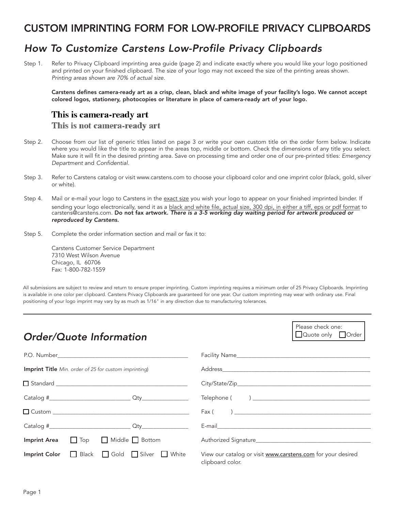### CUSTOM IMPRINTING FORM FOR LOW-PROFILE PRIVACY CLIPBOARDS

## *How To Customize Carstens Low-Profile Privacy Clipboards*

Step 1. Refer to Privacy Clipboard imprinting area guide (page 2) and indicate exactly where you would like your logo positioned and printed on your finished clipboard. The size of your logo may not exceed the size of the printing areas shown. *Printing areas shown are 70% of actual size.*

Carstens defines camera-ready art as a crisp, clean, black and white image of your facility's logo. We cannot accept colored logos, stationery, photocopies or literature in place of camera-ready art of your logo.

#### This is camera-ready art

This is not camera-ready art

- Step 2. Choose from our list of generic titles listed on page 3 or write your own custom title on the order form below. Indicate where you would like the title to appear in the areas top, middle or bottom. Check the dimensions of any title you select. Make sure it will fit in the desired printing area. Save on processing time and order one of our pre-printed titles: *Emergency Department* and *Confidential.*
- Step 3. Refer to Carstens catalog or visit www.carstens.com to choose your clipboard color and one imprint color (black, gold, silver or white).
- Step 4. Mail or e-mail your logo to Carstens in the exact size you wish your logo to appear on your finished imprinted binder. If sending your logo electronically, send it as a black and white file, actual size, 300 dpi, in either a tiff, eps or pdf format to carstens@carstens.com. Do not fax artwork. *There is a 3-5 working day waiting period for artwork produced or reproduced by Carstens.*
- Step 5. Complete the order information section and mail or fax it to:

Carstens Customer Service Department 7310 West Wilson Avenue Chicago, IL 60706 Fax: 1-800-782-1559

All submissions are subject to review and return to ensure proper imprinting. Custom imprinting requires a minimum order of 25 Privacy Clipboards. Imprinting is available in one color per clipboard. Carstens Privacy Clipboards are guaranteed for one year. Our custom imprinting may wear with ordinary use. Final positioning of your logo imprint may vary by as much as 1/16" in any direction due to manufacturing tolerances.

| <b>Order/Quote Information</b>                                | Please check one:<br>Quote only Order                                                                                                                                                                                                                                                                                                                                                                   |
|---------------------------------------------------------------|---------------------------------------------------------------------------------------------------------------------------------------------------------------------------------------------------------------------------------------------------------------------------------------------------------------------------------------------------------------------------------------------------------|
|                                                               |                                                                                                                                                                                                                                                                                                                                                                                                         |
| <b>Imprint Title</b> Min. order of 25 for custom imprinting)  |                                                                                                                                                                                                                                                                                                                                                                                                         |
|                                                               |                                                                                                                                                                                                                                                                                                                                                                                                         |
|                                                               |                                                                                                                                                                                                                                                                                                                                                                                                         |
|                                                               | $\begin{bmatrix} -\frac{1}{2} & -\frac{1}{2} & \frac{1}{2} & \frac{1}{2} & \frac{1}{2} & \frac{1}{2} & \frac{1}{2} & \frac{1}{2} & \frac{1}{2} & \frac{1}{2} & \frac{1}{2} & \frac{1}{2} & \frac{1}{2} & \frac{1}{2} & \frac{1}{2} & \frac{1}{2} & \frac{1}{2} & \frac{1}{2} & \frac{1}{2} & \frac{1}{2} & \frac{1}{2} & \frac{1}{2} & \frac{1}{2} & \frac{1}{2} & \frac{1}{2} & \frac{1}{2} & \frac{1$ |
|                                                               |                                                                                                                                                                                                                                                                                                                                                                                                         |
| $\Box$ Top $\Box$ Middle $\Box$ Bottom<br><b>Imprint Area</b> | Authorized Signature                                                                                                                                                                                                                                                                                                                                                                                    |
| Imprint Color Black Gold Silver White                         | View our catalog or visit www.carstens.com for your desired<br>clipboard color.                                                                                                                                                                                                                                                                                                                         |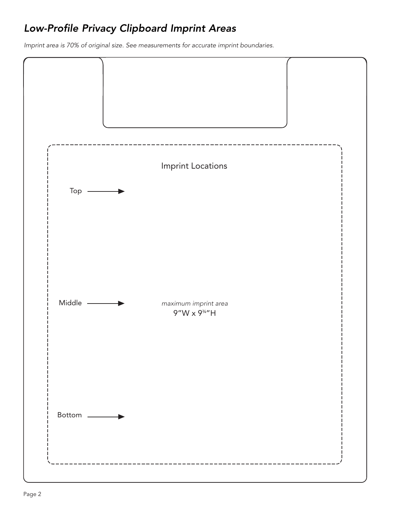# *Low-Profile Privacy Clipboard Imprint Areas*

*Imprint area is 70% of original size. See measurements for accurate imprint boundaries.*

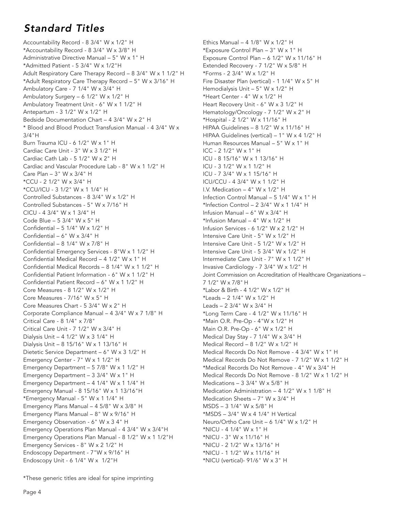## *Standard Titles*

Accountability Record - 8 3/4" W x 1/2" H \*Accountability Record - 8 3/4" W x 3/8" H Administrative Directive Manual – 5" W x 1" H \*Admitted Patient - 5 3/4" W x 1/2"H Adult Respiratory Care Therapy Record – 8 3/4" W x 1 1/2" H \*Adult Respiratory Care Therapy Record – 5" W x 3/16" H Ambulatory Care - 7 1/4" W x 3/4" H Ambulatory Surgery – 6 1/2" W x 1/2" H Ambulatory Treatment Unit - 6" W x 1 1/2" H Antepartum - 3 1/2" W x 1/2" H Bedside Documentation Chart – 4 3/4" W x 2" H \* Blood and Blood Product Transfusion Manual - 4 3/4" W x 3/4"H Burn Trauma ICU - 6 1/2" W x 1" H Cardiac Care Unit - 3" W x 3 1/2" H Cardiac Cath Lab - 5 1/2" W x 2" H Cardiac and Vascular Procedure Lab - 8" W x 1 1/2" H Care Plan – 3" W x 3/4" H \*CCU - 2 1/2" W x 3/4" H \*CCU/ICU - 3 1/2" W x 1 1/4" H Controlled Substances - 8 3/4" W x 1/2" H Controlled Substances - 5" W x 7/16" H CICU - 4 3/4" W x 1 3/4" H Code Blue – 5 3/4" W x 5" H Confidential – 5 1/4" W x 1/2" H Confidential – 6" W x 3/4" H Confidential – 8 1/4" W x 7/8" H Confidential Emergency Services - 8"W x 1 1/2" H Confidential Medical Record – 4 1/2" W x 1" H Confidential Medical Records – 8 1/4" W x 1 1/2" H Confidential Patient Information - 6" W x 1 1/2" H Confidential Patient Record – 6" W x 1 1/2" H Core Measures - 8 1/2" W x 1/2" H Core Measures - 7/16" W x 5" H Core Measures Chart - 5 3/4" W x 2" H Corporate Compliance Manual – 4 3/4" W x 7 1/8" H Critical Care - 8 1/4" x 7/8" Critical Care Unit - 7 1/2" W x 3/4" H Dialysis Unit – 4 1/2" W x 3 1/4" H Dialysis Unit – 8 15/16" W x 1 13/16" H Dietetic Service Department – 6" W x 3 1/2" H Emergency Center - 7" W x 1 1/2" H Emergency Department – 5 7/8" W x 1 1/2" H Emergency Department – 3 3/4" W x 1" H Emergency Department – 4 1/4" W x 1 1/4" H Emergency Manual - 8 15/16" W x 1 13/16"H \*Emergency Manual - 5" W x 1 1/4" H Emergency Plans Manual – 4 5/8" W x 3/8" H Emergency Plans Manual – 8" W x 9/16" H Emergency Observation - 6" W x 3 4" H Emergency Operations Plan Manual - 4 3/4" W x 3/4"H Emergency Operations Plan Manual - 8 1/2" W x 1 1/2"H Emergency Services - 8" W x 2 1/2" H Endoscopy Department - 7"W x 9/16" H Endoscopy Unit - 6 1/4" W x 1/2"H

Ethics Manual –  $4$  1/8" W  $\times$  1/2" H \*Exposure Control Plan – 3" W x 1" H Exposure Control Plan – 6 1/2" W x 11/16" H Extended Recovery - 7 1/2" W x 5/8" H \*Forms - 2 3/4" W x 1/2" H Fire Disaster Plan (vertical) - 1 1/4" W x 5" H Hemodialysis Unit – 5" W x 1/2" H \*Heart Center - 4" W x 1/2" H Heart Recovery Unit - 6" W x 3 1/2" H Hematology/Oncology - 7 1/2" W x 2" H \*Hospital - 2 1/2" W x 11/16" H HIPAA Guidelines – 8 1/2" W x 11/16" H HIPAA Guidelines (vertical) – 1" W x 4 1/2" H Human Resources Manual – 5" W x 1" H ICC - 2 1/2" W x 1" H ICU - 8 15/16" W x 1 13/16" H ICU - 3 1/2" W x 1 1/2" H ICU - 7 3/4" W x 1 15/16" H ICU/CCU - 4 3/4" W x 1 1/2" H I.V. Medication – 4" W x 1/2" H Infection Control Manual – 5 1/4" W x 1" H \*Infection Control  $- 2$  3/4" W x 1 1/4" H Infusion Manual – 6" W x 3/4" H \*Infusion Manual – 4" W x 1/2" H Infusion Services - 6 1/2" W x 2 1/2" H Intensive Care Unit - 5" W x 1/2" H Intensive Care Unit - 5 1/2" W x 1/2" H Intensive Care Unit - 5 3/4" W x 1/2" H Intermediate Care Unit - 7" W x 1 1/2" H Invasive Cardiology - 7 3/4" W x 1/2" H Joint Commission on Accreditation of Healthcare Organizations – 7 1/2" W x 7/8" H \*Labor & Birth - 4 1/2" W x 1/2" H \*Leads – 2 1/4" W x 1/2" H Leads – 2 3/4" W x 3/4" H \*Long Term Care - 4 1/2" W x 11/16" H \*Main O.R. Pre-Op - 4"W x 1/2" H Main O.R. Pre-Op - 6" W x 1/2" H Medical Day Stay - 7 1/4" W x 3/4" H Medical Record – 8 1/2" W x 1/2" H Medical Records Do Not Remove - 4 3/4" W x 1" H Medical Records Do Not Remove - 7 1/2" W x 1 1/2" H \*Medical Records Do Not Remove - 4" W x 3/4" H Medical Records Do Not Remove - 8 1/2" W x 1 1/2" H Medications – 3 3/4" W x 5/8" H Medication Administration – 4 1/2" W x 1 1/8" H Medication Sheets – 7" W x 3/4" H MSDS – 3 1/4" W x 5/8" H \*MSDS – 3/4" W x 4 1/4" H Vertical Neuro/Ortho Care Unit – 6 1/4" W x 1/2" H \*NICU - 4 1/4" W x 1" H \*NICU - 3" W x 11/16" H \*NICU - 2 1/2" W x 13/16" H \*NICU - 1 1/2" W x 11/16" H \*NICU (vertical)- 91/6" W x 3" H

\*These generic titles are ideal for spine imprinting